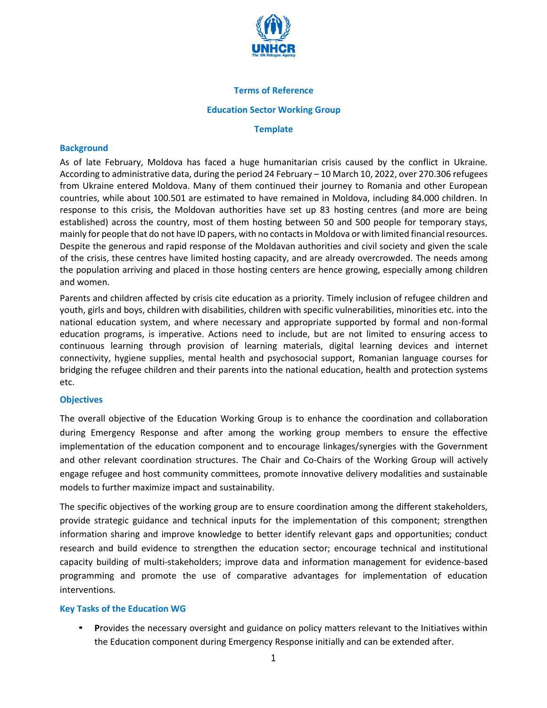

## **Terms of Reference**

#### **Education Sector Working Group**

#### **Template**

## **Background**

As of late February, Moldova has faced a huge humanitarian crisis caused by the conflict in Ukraine. According to administrative data, during the period 24 February – 10 March 10, 2022, over 270.306 refugees from Ukraine entered Moldova. Many of them continued their journey to Romania and other European countries, while about 100.501 are estimated to have remained in Moldova, including 84.000 children. In response to this crisis, the Moldovan authorities have set up 83 hosting centres (and more are being established) across the country, most of them hosting between 50 and 500 people for temporary stays, mainly for people that do not have ID papers, with no contacts in Moldova or with limited financial resources. Despite the generous and rapid response of the Moldavan authorities and civil society and given the scale of the crisis, these centres have limited hosting capacity, and are already overcrowded. The needs among the population arriving and placed in those hosting centers are hence growing, especially among children and women.

Parents and children affected by crisis cite education as a priority. Timely inclusion of refugee children and youth, girls and boys, children with disabilities, children with specific vulnerabilities, minorities etc. into the national education system, and where necessary and appropriate supported by formal and non-formal education programs, is imperative. Actions need to include, but are not limited to ensuring access to continuous learning through provision of learning materials, digital learning devices and internet connectivity, hygiene supplies, mental health and psychosocial support, Romanian language courses for bridging the refugee children and their parents into the national education, health and protection systems etc.

## **Objectives**

The overall objective of the Education Working Group is to enhance the coordination and collaboration during Emergency Response and after among the working group members to ensure the effective implementation of the education component and to encourage linkages/synergies with the Government and other relevant coordination structures. The Chair and Co-Chairs of the Working Group will actively engage refugee and host community committees, promote innovative delivery modalities and sustainable models to further maximize impact and sustainability.

The specific objectives of the working group are to ensure coordination among the different stakeholders, provide strategic guidance and technical inputs for the implementation of this component; strengthen information sharing and improve knowledge to better identify relevant gaps and opportunities; conduct research and build evidence to strengthen the education sector; encourage technical and institutional capacity building of multi-stakeholders; improve data and information management for evidence-based programming and promote the use of comparative advantages for implementation of education interventions.

## **Key Tasks of the Education WG**

• **P**rovides the necessary oversight and guidance on policy matters relevant to the Initiatives within the Education component during Emergency Response initially and can be extended after.